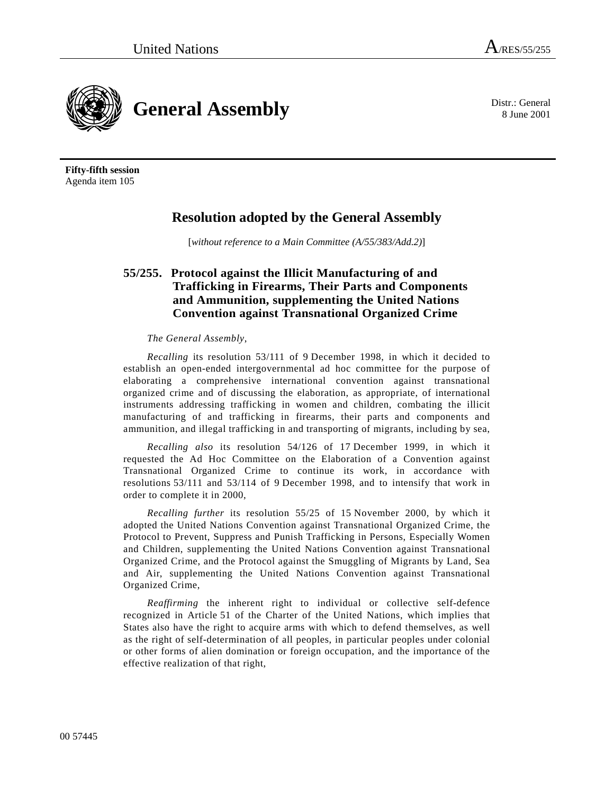8 June 2001



**Fifty-fifth session** Agenda item 105

# **Resolution adopted by the General Assembly**

[*without reference to a Main Committee (A/55/383/Add.2)*]

# **55/255. Protocol against the Illicit Manufacturing of and Trafficking in Firearms, Their Parts and Components and Ammunition, supplementing the United Nations Convention against Transnational Organized Crime**

# *The General Assembly*,

*Recalling* its resolution 53/111 of 9 December 1998, in which it decided to establish an open-ended intergovernmental ad hoc committee for the purpose of elaborating a comprehensive international convention against transnational organized crime and of discussing the elaboration, as appropriate, of international instruments addressing trafficking in women and children, combating the illicit manufacturing of and trafficking in firearms, their parts and components and ammunition, and illegal trafficking in and transporting of migrants, including by sea,

*Recalling also* its resolution 54/126 of 17 December 1999, in which it requested the Ad Hoc Committee on the Elaboration of a Convention against Transnational Organized Crime to continue its work, in accordance with resolutions 53/111 and 53/114 of 9 December 1998, and to intensify that work in order to complete it in 2000,

*Recalling further* its resolution 55/25 of 15 November 2000, by which it adopted the United Nations Convention against Transnational Organized Crime, the Protocol to Prevent, Suppress and Punish Trafficking in Persons, Especially Women and Children, supplementing the United Nations Convention against Transnational Organized Crime, and the Protocol against the Smuggling of Migrants by Land, Sea and Air, supplementing the United Nations Convention against Transnational Organized Crime,

*Reaffirming* the inherent right to individual or collective self-defence recognized in Article 51 of the Charter of the United Nations, which implies that States also have the right to acquire arms with which to defend themselves, as well as the right of self-determination of all peoples, in particular peoples under colonial or other forms of alien domination or foreign occupation, and the importance of the effective realization of that right,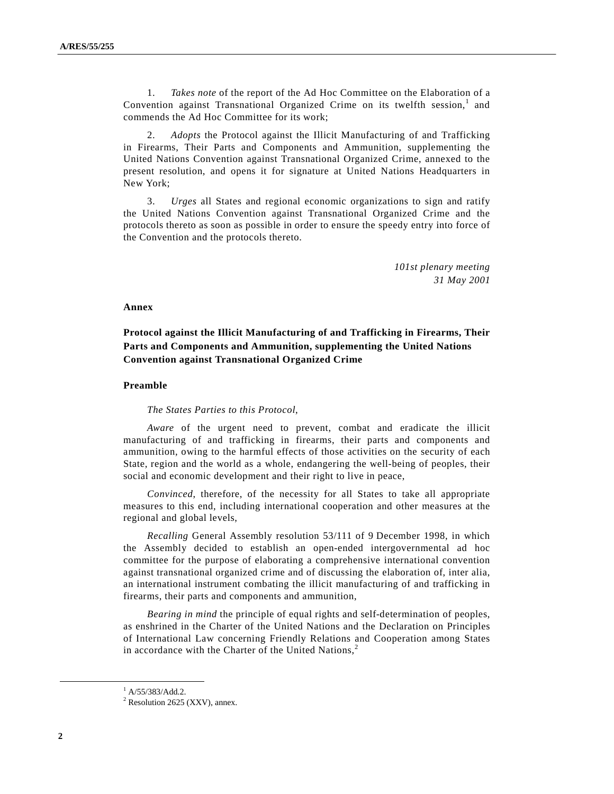1. *Takes note* of the report of the Ad Hoc Committee on the Elaboration of a Convention against Transnational Organized Crime on its twelfth session,<sup>1</sup> and commends the Ad Hoc Committee for its work;

2. *Adopts* the Protocol against the Illicit Manufacturing of and Trafficking in Firearms, Their Parts and Components and Ammunition, supplementing the United Nations Convention against Transnational Organized Crime, annexed to the present resolution, and opens it for signature at United Nations Headquarters in New York;

3. *Urges* all States and regional economic organizations to sign and ratify the United Nations Convention against Transnational Organized Crime and the protocols thereto as soon as possible in order to ensure the speedy entry into force of the Convention and the protocols thereto.

> *101st plenary meeting 31 May 2001*

#### **Annex**

**Protocol against the Illicit Manufacturing of and Trafficking in Firearms, Their Parts and Components and Ammunition, supplementing the United Nations Convention against Transnational Organized Crime**

#### **Preamble**

#### *The States Parties to this Protocol*,

*Aware* of the urgent need to prevent, combat and eradicate the illicit manufacturing of and trafficking in firearms, their parts and components and ammunition, owing to the harmful effects of those activities on the security of each State, region and the world as a whole, endangering the well-being of peoples, their social and economic development and their right to live in peace,

*Convinced*, therefore, of the necessity for all States to take all appropriate measures to this end, including international cooperation and other measures at the regional and global levels,

*Recalling* General Assembly resolution 53/111 of 9 December 1998, in which the Assembly decided to establish an open-ended intergovernmental ad hoc committee for the purpose of elaborating a comprehensive international convention against transnational organized crime and of discussing the elaboration of, inter alia, an international instrument combating the illicit manufacturing of and trafficking in firearms, their parts and components and ammunition,

*Bearing in mind* the principle of equal rights and self-determination of peoples, as enshrined in the Charter of the United Nations and the Declaration on Principles of International Law concerning Friendly Relations and Cooperation among States in accordance with the Charter of the United Nations, $<sup>2</sup>$ </sup>

<sup>&</sup>lt;u>1</u>  $^{1}$  A/55/383/Add.2.

 $2$  Resolution 2625 (XXV), annex.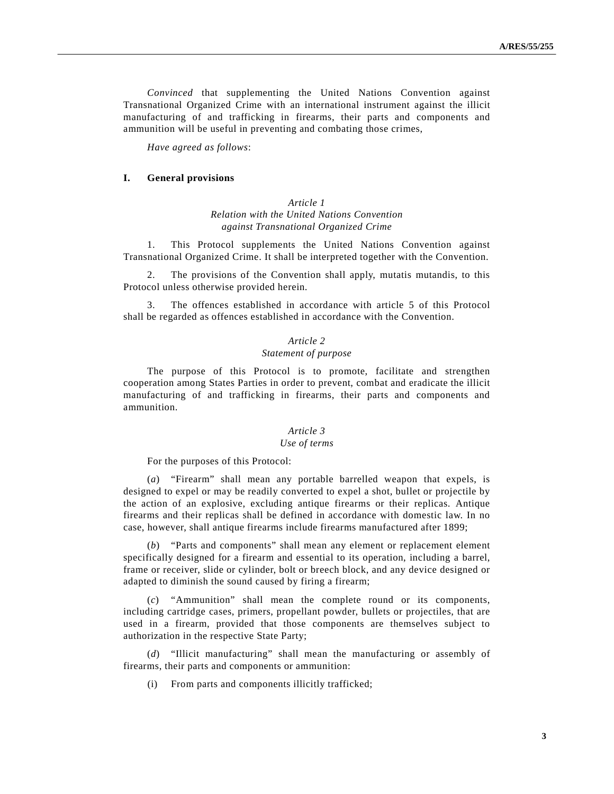*Convinced* that supplementing the United Nations Convention against Transnational Organized Crime with an international instrument against the illicit manufacturing of and trafficking in firearms, their parts and components and ammunition will be useful in preventing and combating those crimes,

*Have agreed as follows*:

#### **I. General provisions**

# *Article 1 Relation with the United Nations Convention against Transnational Organized Crime*

1. This Protocol supplements the United Nations Convention against Transnational Organized Crime. It shall be interpreted together with the Convention.

2. The provisions of the Convention shall apply, mutatis mutandis, to this Protocol unless otherwise provided herein.

3. The offences established in accordance with article 5 of this Protocol shall be regarded as offences established in accordance with the Convention.

# *Article 2 Statement of purpose*

The purpose of this Protocol is to promote, facilitate and strengthen cooperation among States Parties in order to prevent, combat and eradicate the illicit manufacturing of and trafficking in firearms, their parts and components and ammunition.

# *Article 3*

# *Use of terms*

For the purposes of this Protocol:

(*a*) "Firearm" shall mean any portable barrelled weapon that expels, is designed to expel or may be readily converted to expel a shot, bullet or projectile by the action of an explosive, excluding antique firearms or their replicas. Antique firearms and their replicas shall be defined in accordance with domestic law. In no case, however, shall antique firearms include firearms manufactured after 1899;

(*b*) "Parts and components" shall mean any element or replacement element specifically designed for a firearm and essential to its operation, including a barrel, frame or receiver, slide or cylinder, bolt or breech block, and any device designed or adapted to diminish the sound caused by firing a firearm;

(*c*) "Ammunition" shall mean the complete round or its components, including cartridge cases, primers, propellant powder, bullets or projectiles, that are used in a firearm, provided that those components are themselves subject to authorization in the respective State Party;

(*d*) "Illicit manufacturing" shall mean the manufacturing or assembly of firearms, their parts and components or ammunition:

(i) From parts and components illicitly trafficked;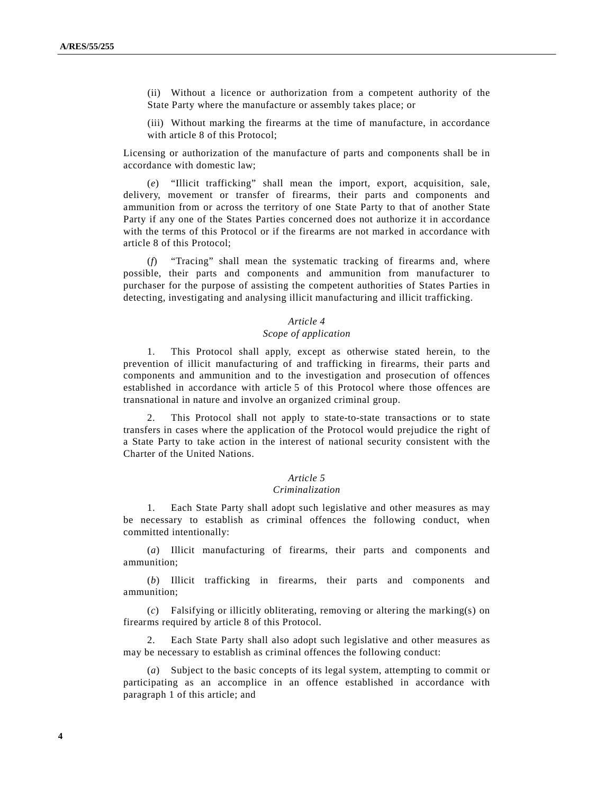(ii) Without a licence or authorization from a competent authority of the State Party where the manufacture or assembly takes place; or

(iii) Without marking the firearms at the time of manufacture, in accordance with article 8 of this Protocol;

Licensing or authorization of the manufacture of parts and components shall be in accordance with domestic law;

(*e*) "Illicit trafficking" shall mean the import, export, acquisition, sale, delivery, movement or transfer of firearms, their parts and components and ammunition from or across the territory of one State Party to that of another State Party if any one of the States Parties concerned does not authorize it in accordance with the terms of this Protocol or if the firearms are not marked in accordance with article 8 of this Protocol;

(*f*) "Tracing" shall mean the systematic tracking of firearms and, where possible, their parts and components and ammunition from manufacturer to purchaser for the purpose of assisting the competent authorities of States Parties in detecting, investigating and analysing illicit manufacturing and illicit trafficking.

#### *Article 4*

# *Scope of application*

1. This Protocol shall apply, except as otherwise stated herein, to the prevention of illicit manufacturing of and trafficking in firearms, their parts and components and ammunition and to the investigation and prosecution of offences established in accordance with article 5 of this Protocol where those offences are transnational in nature and involve an organized criminal group.

This Protocol shall not apply to state-to-state transactions or to state transfers in cases where the application of the Protocol would prejudice the right of a State Party to take action in the interest of national security consistent with the Charter of the United Nations.

#### *Article 5*

#### *Criminalization*

1. Each State Party shall adopt such legislative and other measures as may be necessary to establish as criminal offences the following conduct, when committed intentionally:

(*a*) Illicit manufacturing of firearms, their parts and components and ammunition;

(*b*) Illicit trafficking in firearms, their parts and components and ammunition;

(*c*) Falsifying or illicitly obliterating, removing or altering the marking(s) on firearms required by article 8 of this Protocol.

Each State Party shall also adopt such legislative and other measures as may be necessary to establish as criminal offences the following conduct:

(*a*) Subject to the basic concepts of its legal system, attempting to commit or participating as an accomplice in an offence established in accordance with paragraph 1 of this article; and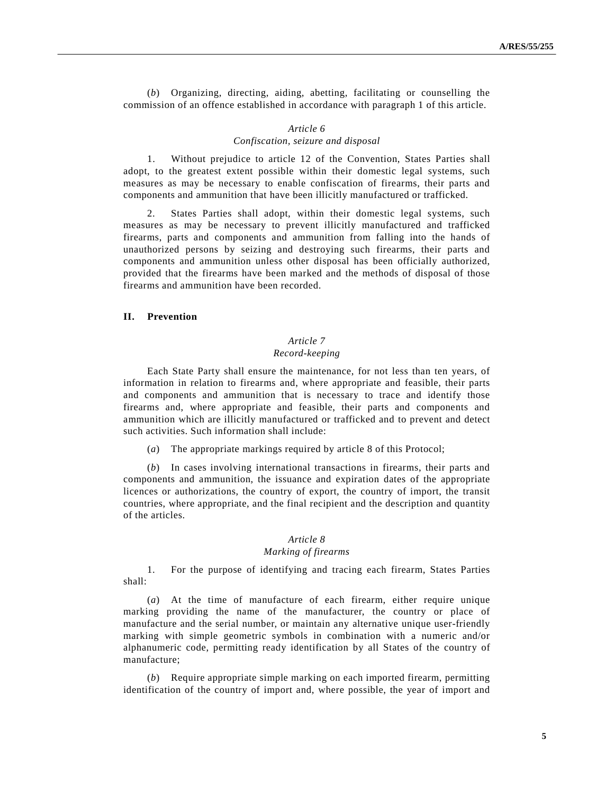(*b*) Organizing, directing, aiding, abetting, facilitating or counselling the commission of an offence established in accordance with paragraph 1 of this article.

#### *Article 6*

#### *Confiscation, seizure and disposal*

1. Without prejudice to article 12 of the Convention, States Parties shall adopt, to the greatest extent possible within their domestic legal systems, such measures as may be necessary to enable confiscation of firearms, their parts and components and ammunition that have been illicitly manufactured or trafficked.

2. States Parties shall adopt, within their domestic legal systems, such measures as may be necessary to prevent illicitly manufactured and trafficked firearms, parts and components and ammunition from falling into the hands of unauthorized persons by seizing and destroying such firearms, their parts and components and ammunition unless other disposal has been officially authorized, provided that the firearms have been marked and the methods of disposal of those firearms and ammunition have been recorded.

# **II. Prevention**

# *Article 7 Record-keeping*

Each State Party shall ensure the maintenance, for not less than ten years, of information in relation to firearms and, where appropriate and feasible, their parts and components and ammunition that is necessary to trace and identify those firearms and, where appropriate and feasible, their parts and components and ammunition which are illicitly manufactured or trafficked and to prevent and detect such activities. Such information shall include:

(*a*) The appropriate markings required by article 8 of this Protocol;

(*b*) In cases involving international transactions in firearms, their parts and components and ammunition, the issuance and expiration dates of the appropriate licences or authorizations, the country of export, the country of import, the transit countries, where appropriate, and the final recipient and the description and quantity of the articles.

#### *Article 8*

### *Marking of firearms*

1. For the purpose of identifying and tracing each firearm, States Parties shall:

(*a*) At the time of manufacture of each firearm, either require unique marking providing the name of the manufacturer, the country or place of manufacture and the serial number, or maintain any alternative unique user-friendly marking with simple geometric symbols in combination with a numeric and/or alphanumeric code, permitting ready identification by all States of the country of manufacture;

(*b*) Require appropriate simple marking on each imported firearm, permitting identification of the country of import and, where possible, the year of import and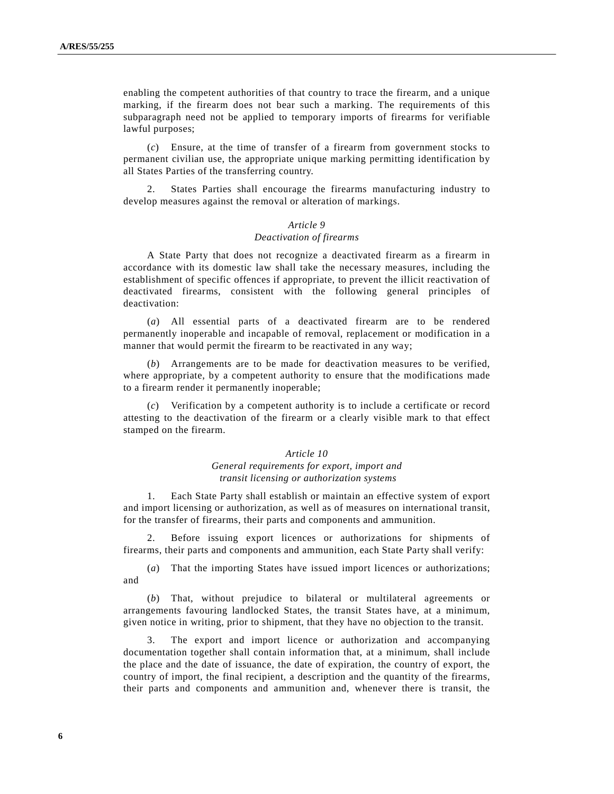enabling the competent authorities of that country to trace the firearm, and a unique marking, if the firearm does not bear such a marking. The requirements of this subparagraph need not be applied to temporary imports of firearms for verifiable lawful purposes;

(*c*) Ensure, at the time of transfer of a firearm from government stocks to permanent civilian use, the appropriate unique marking permitting identification by all States Parties of the transferring country.

2. States Parties shall encourage the firearms manufacturing industry to develop measures against the removal or alteration of markings.

#### *Article 9*

#### *Deactivation of firearms*

A State Party that does not recognize a deactivated firearm as a firearm in accordance with its domestic law shall take the necessary measures, including the establishment of specific offences if appropriate, to prevent the illicit reactivation of deactivated firearms, consistent with the following general principles of deactivation:

(*a*) All essential parts of a deactivated firearm are to be rendered permanently inoperable and incapable of removal, replacement or modification in a manner that would permit the firearm to be reactivated in any way;

(*b*) Arrangements are to be made for deactivation measures to be verified, where appropriate, by a competent authority to ensure that the modifications made to a firearm render it permanently inoperable;

(*c*) Verification by a competent authority is to include a certificate or record attesting to the deactivation of the firearm or a clearly visible mark to that effect stamped on the firearm.

#### *Article 10*

### *General requirements for export, import and transit licensing or authorization systems*

1. Each State Party shall establish or maintain an effective system of export and import licensing or authorization, as well as of measures on international transit, for the transfer of firearms, their parts and components and ammunition.

2. Before issuing export licences or authorizations for shipments of firearms, their parts and components and ammunition, each State Party shall verify:

(*a*) That the importing States have issued import licences or authorizations; and

(*b*) That, without prejudice to bilateral or multilateral agreements or arrangements favouring landlocked States, the transit States have, at a minimum, given notice in writing, prior to shipment, that they have no objection to the transit.

3. The export and import licence or authorization and accompanying documentation together shall contain information that, at a minimum, shall include the place and the date of issuance, the date of expiration, the country of export, the country of import, the final recipient, a description and the quantity of the firearms, their parts and components and ammunition and, whenever there is transit, the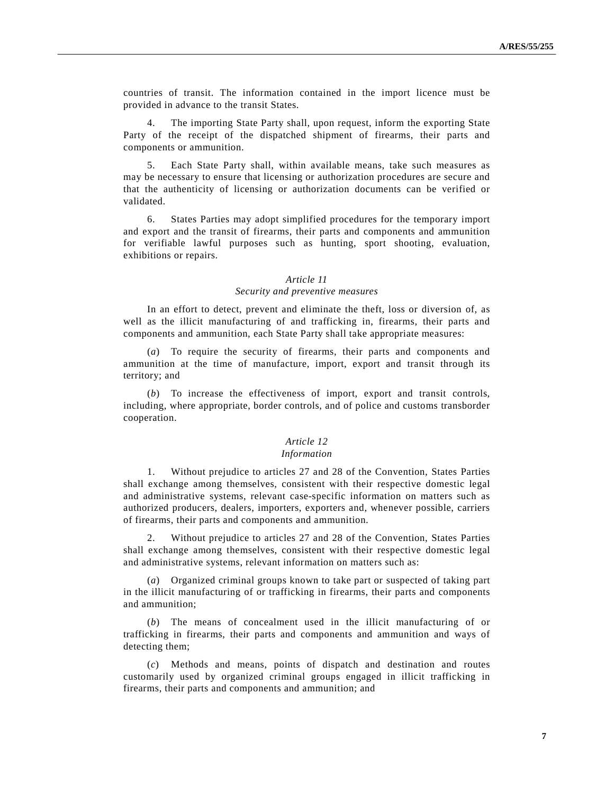countries of transit. The information contained in the import licence must be provided in advance to the transit States.

4. The importing State Party shall, upon request, inform the exporting State Party of the receipt of the dispatched shipment of firearms, their parts and components or ammunition.

5. Each State Party shall, within available means, take such measures as may be necessary to ensure that licensing or authorization procedures are secure and that the authenticity of licensing or authorization documents can be verified or validated.

6. States Parties may adopt simplified procedures for the temporary import and export and the transit of firearms, their parts and components and ammunition for verifiable lawful purposes such as hunting, sport shooting, evaluation, exhibitions or repairs.

#### *Article 11*

### *Security and preventive measures*

In an effort to detect, prevent and eliminate the theft, loss or diversion of, as well as the illicit manufacturing of and trafficking in, firearms, their parts and components and ammunition, each State Party shall take appropriate measures:

(*a*) To require the security of firearms, their parts and components and ammunition at the time of manufacture, import, export and transit through its territory; and

(*b*) To increase the effectiveness of import, export and transit controls, including, where appropriate, border controls, and of police and customs transborder cooperation.

# *Article 12*

# *Information*

1. Without prejudice to articles 27 and 28 of the Convention, States Parties shall exchange among themselves, consistent with their respective domestic legal and administrative systems, relevant case-specific information on matters such as authorized producers, dealers, importers, exporters and, whenever possible, carriers of firearms, their parts and components and ammunition.

2. Without prejudice to articles 27 and 28 of the Convention, States Parties shall exchange among themselves, consistent with their respective domestic legal and administrative systems, relevant information on matters such as:

(*a*) Organized criminal groups known to take part or suspected of taking part in the illicit manufacturing of or trafficking in firearms, their parts and components and ammunition;

(*b*) The means of concealment used in the illicit manufacturing of or trafficking in firearms, their parts and components and ammunition and ways of detecting them;

(*c*) Methods and means, points of dispatch and destination and routes customarily used by organized criminal groups engaged in illicit trafficking in firearms, their parts and components and ammunition; and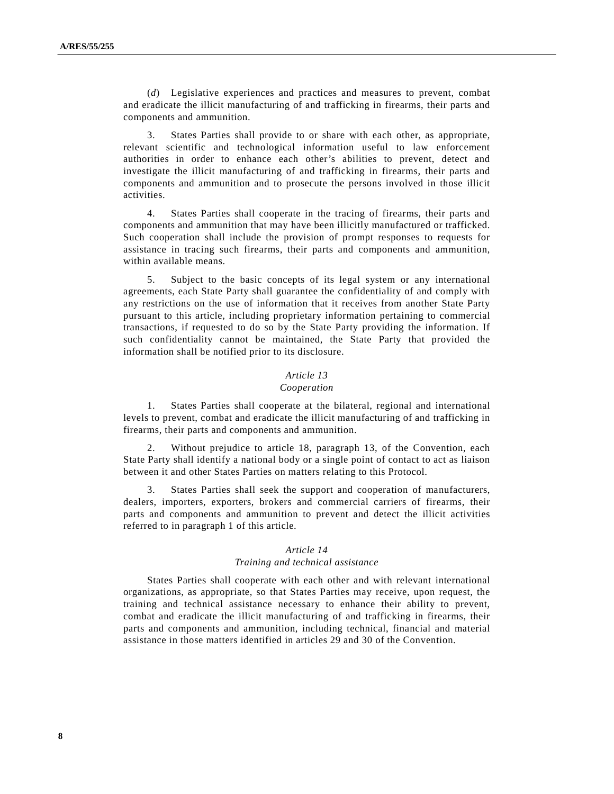(*d*) Legislative experiences and practices and measures to prevent, combat and eradicate the illicit manufacturing of and trafficking in firearms, their parts and components and ammunition.

3. States Parties shall provide to or share with each other, as appropriate, relevant scientific and technological information useful to law enforcement authorities in order to enhance each other's abilities to prevent, detect and investigate the illicit manufacturing of and trafficking in firearms, their parts and components and ammunition and to prosecute the persons involved in those illicit activities.

4. States Parties shall cooperate in the tracing of firearms, their parts and components and ammunition that may have been illicitly manufactured or trafficked. Such cooperation shall include the provision of prompt responses to requests for assistance in tracing such firearms, their parts and components and ammunition, within available means.

5. Subject to the basic concepts of its legal system or any international agreements, each State Party shall guarantee the confidentiality of and comply with any restrictions on the use of information that it receives from another State Party pursuant to this article, including proprietary information pertaining to commercial transactions, if requested to do so by the State Party providing the information. If such confidentiality cannot be maintained, the State Party that provided the information shall be notified prior to its disclosure.

#### *Article 13*

# *Cooperation*

1. States Parties shall cooperate at the bilateral, regional and international levels to prevent, combat and eradicate the illicit manufacturing of and trafficking in firearms, their parts and components and ammunition.

2. Without prejudice to article 18, paragraph 13, of the Convention, each State Party shall identify a national body or a single point of contact to act as liaison between it and other States Parties on matters relating to this Protocol.

3. States Parties shall seek the support and cooperation of manufacturers, dealers, importers, exporters, brokers and commercial carriers of firearms, their parts and components and ammunition to prevent and detect the illicit activities referred to in paragraph 1 of this article.

#### *Article 14*

# *Training and technical assistance*

States Parties shall cooperate with each other and with relevant international organizations, as appropriate, so that States Parties may receive, upon request, the training and technical assistance necessary to enhance their ability to prevent, combat and eradicate the illicit manufacturing of and trafficking in firearms, their parts and components and ammunition, including technical, financial and material assistance in those matters identified in articles 29 and 30 of the Convention.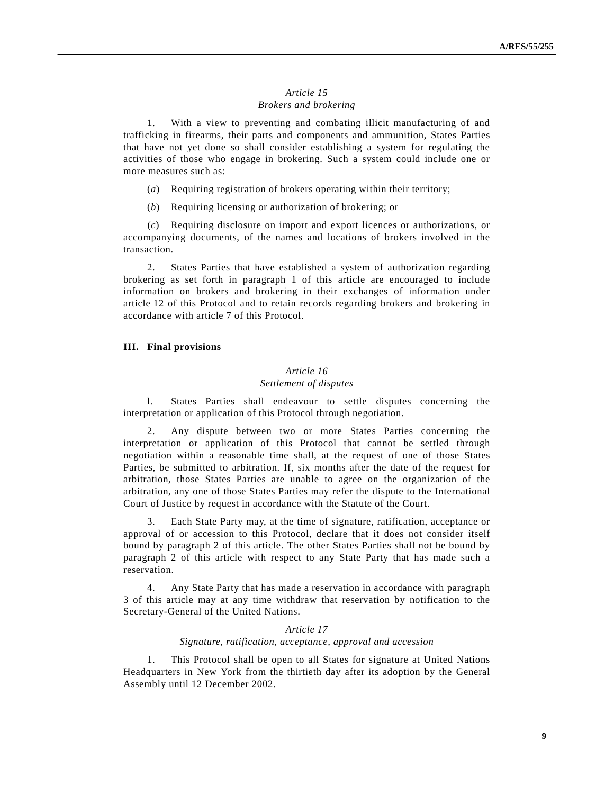# *Article 15 Brokers and brokering*

1. With a view to preventing and combating illicit manufacturing of and trafficking in firearms, their parts and components and ammunition, States Parties that have not yet done so shall consider establishing a system for regulating the activities of those who engage in brokering. Such a system could include one or more measures such as:

- (*a*) Requiring registration of brokers operating within their territory;
- (*b*) Requiring licensing or authorization of brokering; or

(*c*) Requiring disclosure on import and export licences or authorizations, or accompanying documents, of the names and locations of brokers involved in the transaction.

2. States Parties that have established a system of authorization regarding brokering as set forth in paragraph 1 of this article are encouraged to include information on brokers and brokering in their exchanges of information under article 12 of this Protocol and to retain records regarding brokers and brokering in accordance with article 7 of this Protocol.

#### **III. Final provisions**

# *Article 16*

#### *Settlement of disputes*

l. States Parties shall endeavour to settle disputes concerning the interpretation or application of this Protocol through negotiation.

2. Any dispute between two or more States Parties concerning the interpretation or application of this Protocol that cannot be settled through negotiation within a reasonable time shall, at the request of one of those States Parties, be submitted to arbitration. If, six months after the date of the request for arbitration, those States Parties are unable to agree on the organization of the arbitration, any one of those States Parties may refer the dispute to the International Court of Justice by request in accordance with the Statute of the Court.

3. Each State Party may, at the time of signature, ratification, acceptance or approval of or accession to this Protocol, declare that it does not consider itself bound by paragraph 2 of this article. The other States Parties shall not be bound by paragraph 2 of this article with respect to any State Party that has made such a reservation.

4. Any State Party that has made a reservation in accordance with paragraph 3 of this article may at any time withdraw that reservation by notification to the Secretary-General of the United Nations.

#### *Article 17*

#### *Signature, ratification, acceptance, approval and accession*

1. This Protocol shall be open to all States for signature at United Nations Headquarters in New York from the thirtieth day after its adoption by the General Assembly until 12 December 2002.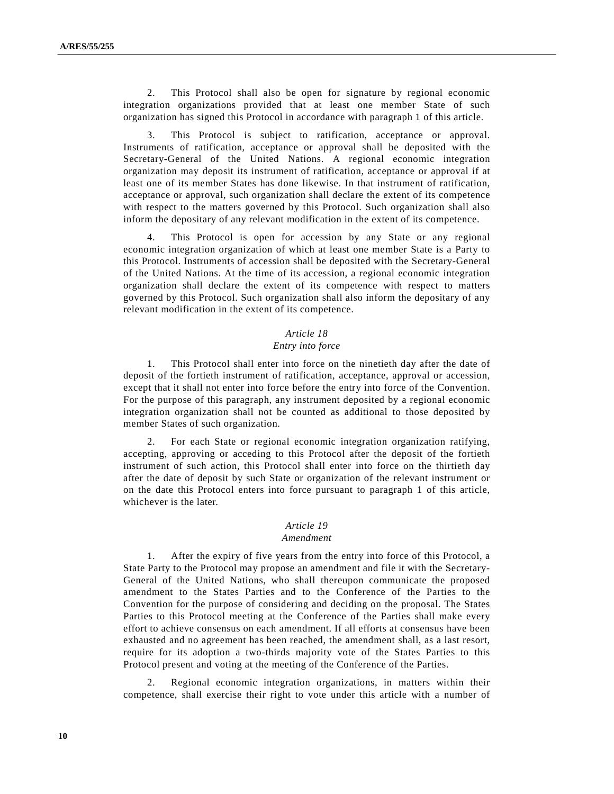2. This Protocol shall also be open for signature by regional economic integration organizations provided that at least one member State of such organization has signed this Protocol in accordance with paragraph 1 of this article.

3. This Protocol is subject to ratification, acceptance or approval. Instruments of ratification, acceptance or approval shall be deposited with the Secretary-General of the United Nations. A regional economic integration organization may deposit its instrument of ratification, acceptance or approval if at least one of its member States has done likewise. In that instrument of ratification, acceptance or approval, such organization shall declare the extent of its competence with respect to the matters governed by this Protocol. Such organization shall also inform the depositary of any relevant modification in the extent of its competence.

4. This Protocol is open for accession by any State or any regional economic integration organization of which at least one member State is a Party to this Protocol. Instruments of accession shall be deposited with the Secretary-General of the United Nations. At the time of its accession, a regional economic integration organization shall declare the extent of its competence with respect to matters governed by this Protocol. Such organization shall also inform the depositary of any relevant modification in the extent of its competence.

# *Article 18*

# *Entry into force*

1. This Protocol shall enter into force on the ninetieth day after the date of deposit of the fortieth instrument of ratification, acceptance, approval or accession, except that it shall not enter into force before the entry into force of the Convention. For the purpose of this paragraph, any instrument deposited by a regional economic integration organization shall not be counted as additional to those deposited by member States of such organization.

2. For each State or regional economic integration organization ratifying, accepting, approving or acceding to this Protocol after the deposit of the fortieth instrument of such action, this Protocol shall enter into force on the thirtieth day after the date of deposit by such State or organization of the relevant instrument or on the date this Protocol enters into force pursuant to paragraph 1 of this article, whichever is the later.

# *Article 19*

#### *Amendment*

1. After the expiry of five years from the entry into force of this Protocol, a State Party to the Protocol may propose an amendment and file it with the Secretary-General of the United Nations, who shall thereupon communicate the proposed amendment to the States Parties and to the Conference of the Parties to the Convention for the purpose of considering and deciding on the proposal. The States Parties to this Protocol meeting at the Conference of the Parties shall make every effort to achieve consensus on each amendment. If all efforts at consensus have been exhausted and no agreement has been reached, the amendment shall, as a last resort, require for its adoption a two-thirds majority vote of the States Parties to this Protocol present and voting at the meeting of the Conference of the Parties.

Regional economic integration organizations, in matters within their competence, shall exercise their right to vote under this article with a number of